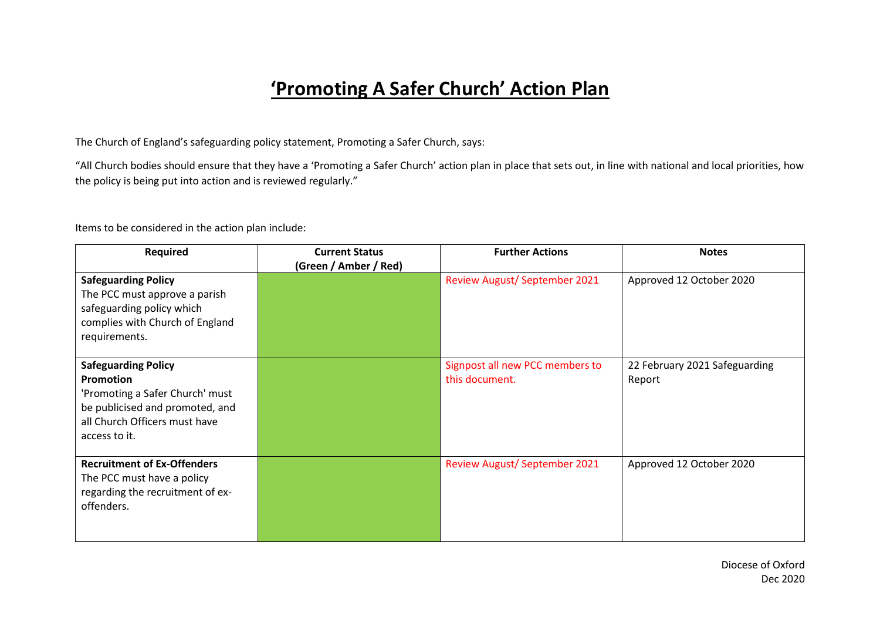## **'Promoting A Safer Church' Action Plan**

The Church of England's safeguarding policy statement, Promoting a Safer Church, says:

"All Church bodies should ensure that they have a 'Promoting a Safer Church' action plan in place that sets out, in line with national and local priorities, how the policy is being put into action and is reviewed regularly."

Items to be considered in the action plan include:

| Required                                                                                                                                                               | <b>Current Status</b><br>(Green / Amber / Red) | <b>Further Actions</b>                            | <b>Notes</b>                            |
|------------------------------------------------------------------------------------------------------------------------------------------------------------------------|------------------------------------------------|---------------------------------------------------|-----------------------------------------|
| <b>Safeguarding Policy</b><br>The PCC must approve a parish<br>safeguarding policy which<br>complies with Church of England<br>requirements.                           |                                                | <b>Review August/ September 2021</b>              | Approved 12 October 2020                |
| <b>Safeguarding Policy</b><br><b>Promotion</b><br>'Promoting a Safer Church' must<br>be publicised and promoted, and<br>all Church Officers must have<br>access to it. |                                                | Signpost all new PCC members to<br>this document. | 22 February 2021 Safeguarding<br>Report |
| <b>Recruitment of Ex-Offenders</b><br>The PCC must have a policy<br>regarding the recruitment of ex-<br>offenders.                                                     |                                                | <b>Review August/ September 2021</b>              | Approved 12 October 2020                |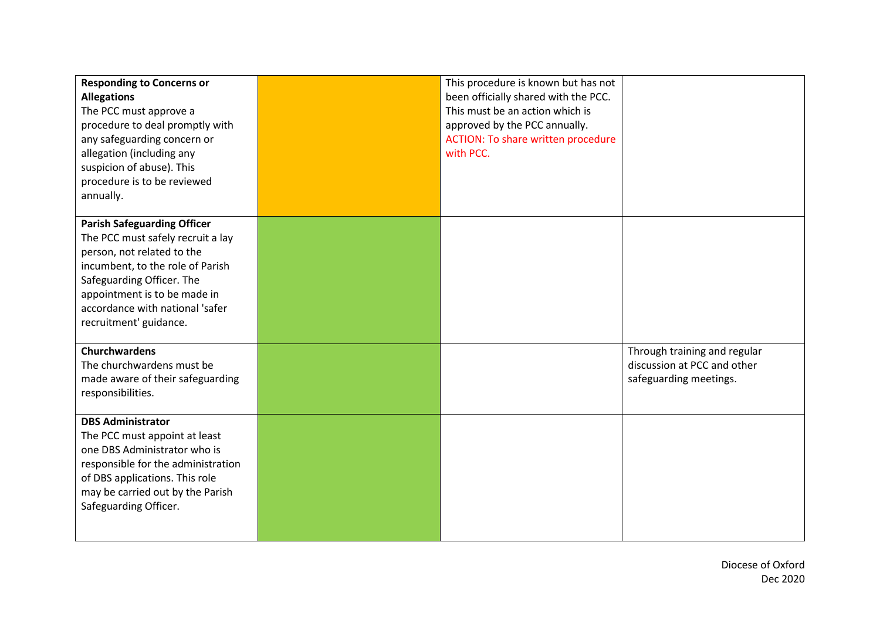| <b>Responding to Concerns or</b><br><b>Allegations</b><br>The PCC must approve a<br>procedure to deal promptly with<br>any safeguarding concern or<br>allegation (including any<br>suspicion of abuse). This<br>procedure is to be reviewed<br>annually.            | This procedure is known but has not<br>been officially shared with the PCC.<br>This must be an action which is<br>approved by the PCC annually.<br>ACTION: To share written procedure<br>with PCC. |                                                                                       |
|---------------------------------------------------------------------------------------------------------------------------------------------------------------------------------------------------------------------------------------------------------------------|----------------------------------------------------------------------------------------------------------------------------------------------------------------------------------------------------|---------------------------------------------------------------------------------------|
| <b>Parish Safeguarding Officer</b><br>The PCC must safely recruit a lay<br>person, not related to the<br>incumbent, to the role of Parish<br>Safeguarding Officer. The<br>appointment is to be made in<br>accordance with national 'safer<br>recruitment' guidance. |                                                                                                                                                                                                    |                                                                                       |
| <b>Churchwardens</b><br>The churchwardens must be<br>made aware of their safeguarding<br>responsibilities.                                                                                                                                                          |                                                                                                                                                                                                    | Through training and regular<br>discussion at PCC and other<br>safeguarding meetings. |
| <b>DBS Administrator</b><br>The PCC must appoint at least<br>one DBS Administrator who is<br>responsible for the administration<br>of DBS applications. This role<br>may be carried out by the Parish<br>Safeguarding Officer.                                      |                                                                                                                                                                                                    |                                                                                       |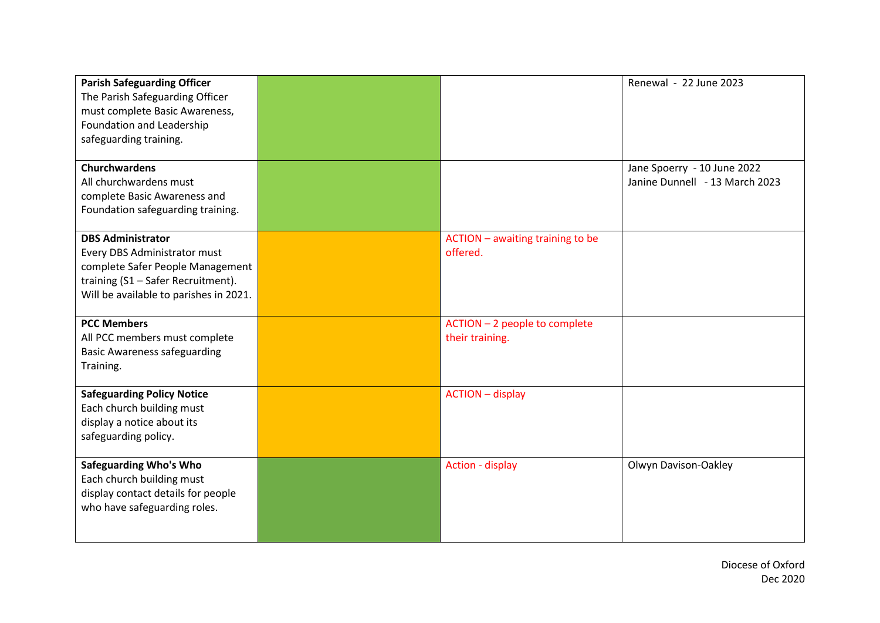| <b>Parish Safeguarding Officer</b><br>The Parish Safeguarding Officer<br>must complete Basic Awareness,<br>Foundation and Leadership<br>safeguarding training.               |                                                  | Renewal - 22 June 2023                                        |
|------------------------------------------------------------------------------------------------------------------------------------------------------------------------------|--------------------------------------------------|---------------------------------------------------------------|
| <b>Churchwardens</b><br>All churchwardens must<br>complete Basic Awareness and<br>Foundation safeguarding training.                                                          |                                                  | Jane Spoerry - 10 June 2022<br>Janine Dunnell - 13 March 2023 |
| <b>DBS Administrator</b><br>Every DBS Administrator must<br>complete Safer People Management<br>training (S1 - Safer Recruitment).<br>Will be available to parishes in 2021. | ACTION - awaiting training to be<br>offered.     |                                                               |
| <b>PCC Members</b><br>All PCC members must complete<br><b>Basic Awareness safeguarding</b><br>Training.                                                                      | ACTION - 2 people to complete<br>their training. |                                                               |
| <b>Safeguarding Policy Notice</b><br>Each church building must<br>display a notice about its<br>safeguarding policy.                                                         | <b>ACTION</b> - display                          |                                                               |
| <b>Safeguarding Who's Who</b><br>Each church building must<br>display contact details for people<br>who have safeguarding roles.                                             | Action - display                                 | Olwyn Davison-Oakley                                          |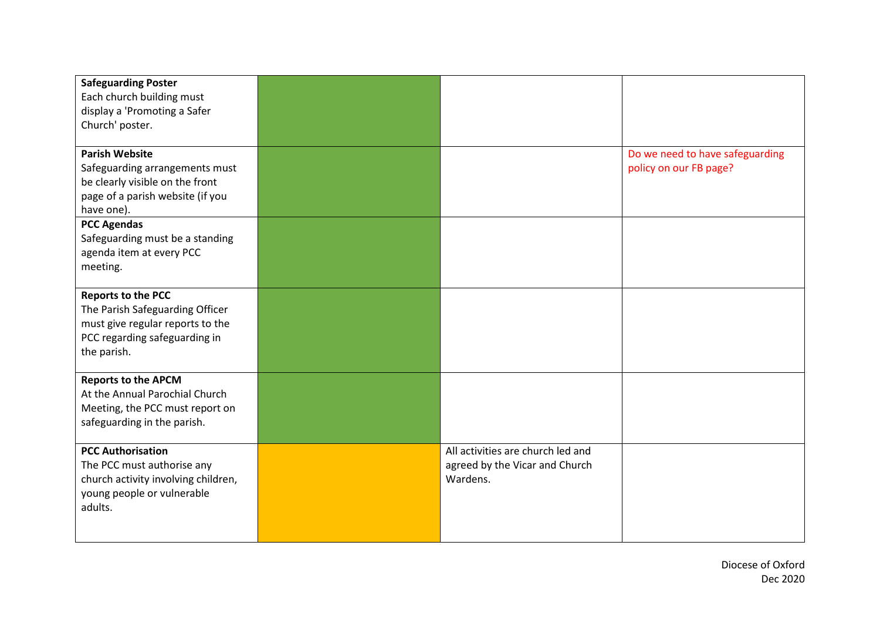| <b>Safeguarding Poster</b><br>Each church building must<br>display a 'Promoting a Safer<br>Church' poster.                                       |                                                                                 |                                                           |
|--------------------------------------------------------------------------------------------------------------------------------------------------|---------------------------------------------------------------------------------|-----------------------------------------------------------|
| <b>Parish Website</b><br>Safeguarding arrangements must<br>be clearly visible on the front<br>page of a parish website (if you<br>have one).     |                                                                                 | Do we need to have safeguarding<br>policy on our FB page? |
| <b>PCC Agendas</b><br>Safeguarding must be a standing<br>agenda item at every PCC<br>meeting.                                                    |                                                                                 |                                                           |
| <b>Reports to the PCC</b><br>The Parish Safeguarding Officer<br>must give regular reports to the<br>PCC regarding safeguarding in<br>the parish. |                                                                                 |                                                           |
| <b>Reports to the APCM</b><br>At the Annual Parochial Church<br>Meeting, the PCC must report on<br>safeguarding in the parish.                   |                                                                                 |                                                           |
| <b>PCC Authorisation</b><br>The PCC must authorise any<br>church activity involving children,<br>young people or vulnerable<br>adults.           | All activities are church led and<br>agreed by the Vicar and Church<br>Wardens. |                                                           |